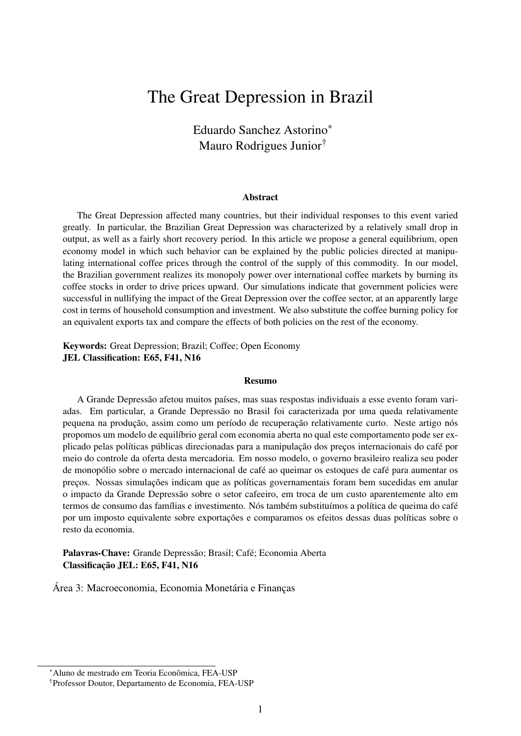# The Great Depression in Brazil

Eduardo Sanchez Astorino<sup>∗</sup> Mauro Rodrigues Junior†

#### Abstract

The Great Depression affected many countries, but their individual responses to this event varied greatly. In particular, the Brazilian Great Depression was characterized by a relatively small drop in output, as well as a fairly short recovery period. In this article we propose a general equilibrium, open economy model in which such behavior can be explained by the public policies directed at manipulating international coffee prices through the control of the supply of this commodity. In our model, the Brazilian government realizes its monopoly power over international coffee markets by burning its coffee stocks in order to drive prices upward. Our simulations indicate that government policies were successful in nullifying the impact of the Great Depression over the coffee sector, at an apparently large cost in terms of household consumption and investment. We also substitute the coffee burning policy for an equivalent exports tax and compare the effects of both policies on the rest of the economy.

#### Keywords: Great Depression; Brazil; Coffee; Open Economy JEL Classification: E65, F41, N16

#### Resumo

A Grande Depressão afetou muitos países, mas suas respostas individuais a esse evento foram variadas. Em particular, a Grande Depressão no Brasil foi caracterizada por uma queda relativamente pequena na produção, assim como um período de recuperação relativamente curto. Neste artigo nós propomos um modelo de equilíbrio geral com economia aberta no qual este comportamento pode ser explicado pelas políticas públicas direcionadas para a manipulação dos preços internacionais do café por meio do controle da oferta desta mercadoria. Em nosso modelo, o governo brasileiro realiza seu poder de monopólio sobre o mercado internacional de café ao queimar os estoques de café para aumentar os preços. Nossas simulações indicam que as políticas governamentais foram bem sucedidas em anular o impacto da Grande Depressão sobre o setor cafeeiro, em troca de um custo aparentemente alto em termos de consumo das famílias e investimento. Nós também substituímos a política de queima do café por um imposto equivalente sobre exportações e comparamos os efeitos dessas duas políticas sobre o resto da economia.

Palavras-Chave: Grande Depressão; Brasil; Café; Economia Aberta Classificação JEL: E65, F41, N16

Área 3: Macroeconomia, Economia Monetária e Finanças

<sup>∗</sup>Aluno de mestrado em Teoria Econômica, FEA-USP

<sup>†</sup>Professor Doutor, Departamento de Economia, FEA-USP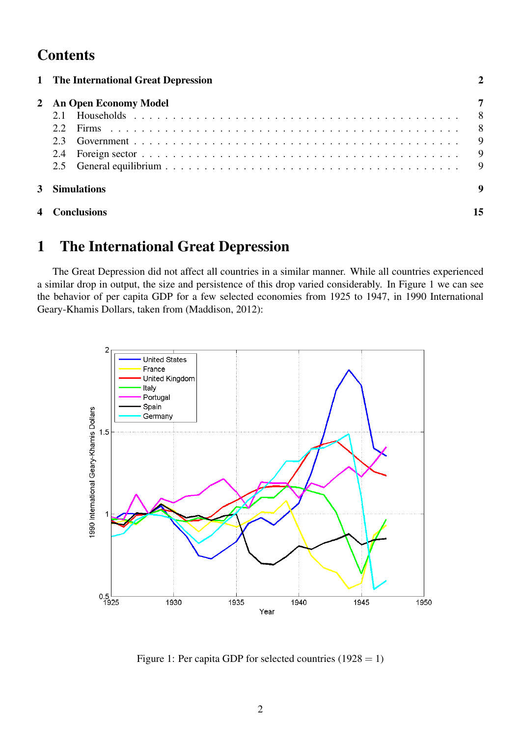# **Contents**

|   | 1 The International Great Depression |          |
|---|--------------------------------------|----------|
|   | 2 An Open Economy Model              |          |
|   | 2.2                                  | 8        |
|   | 23                                   | 9        |
|   |                                      | 9        |
|   | 2.5                                  | <b>Q</b> |
|   | 3 Simulations                        |          |
| 4 | Conclusions                          |          |

# 1 The International Great Depression

The Great Depression did not affect all countries in a similar manner. While all countries experienced a similar drop in output, the size and persistence of this drop varied considerably. In Figure 1 we can see the behavior of per capita GDP for a few selected economies from 1925 to 1947, in 1990 International Geary-Khamis Dollars, taken from (Maddison, 2012):



Figure 1: Per capita GDP for selected countries  $(1928 = 1)$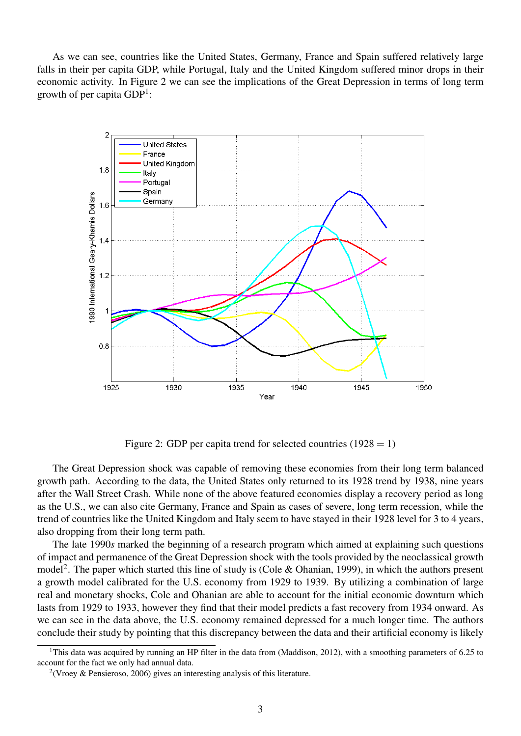As we can see, countries like the United States, Germany, France and Spain suffered relatively large falls in their per capita GDP, while Portugal, Italy and the United Kingdom suffered minor drops in their economic activity. In Figure 2 we can see the implications of the Great Depression in terms of long term growth of per capita GDP<sup>1</sup>:



Figure 2: GDP per capita trend for selected countries  $(1928 = 1)$ 

The Great Depression shock was capable of removing these economies from their long term balanced growth path. According to the data, the United States only returned to its 1928 trend by 1938, nine years after the Wall Street Crash. While none of the above featured economies display a recovery period as long as the U.S., we can also cite Germany, France and Spain as cases of severe, long term recession, while the trend of countries like the United Kingdom and Italy seem to have stayed in their 1928 level for 3 to 4 years, also dropping from their long term path.

The late 1990*s* marked the beginning of a research program which aimed at explaining such questions of impact and permanence of the Great Depression shock with the tools provided by the neoclassical growth model<sup>2</sup>. The paper which started this line of study is (Cole & Ohanian, 1999), in which the authors present a growth model calibrated for the U.S. economy from 1929 to 1939. By utilizing a combination of large real and monetary shocks, Cole and Ohanian are able to account for the initial economic downturn which lasts from 1929 to 1933, however they find that their model predicts a fast recovery from 1934 onward. As we can see in the data above, the U.S. economy remained depressed for a much longer time. The authors conclude their study by pointing that this discrepancy between the data and their artificial economy is likely

<sup>&</sup>lt;sup>1</sup>This data was acquired by running an HP filter in the data from (Maddison, 2012), with a smoothing parameters of 6.25 to account for the fact we only had annual data.

<sup>&</sup>lt;sup>2</sup>(Vroey & Pensieroso, 2006) gives an interesting analysis of this literature.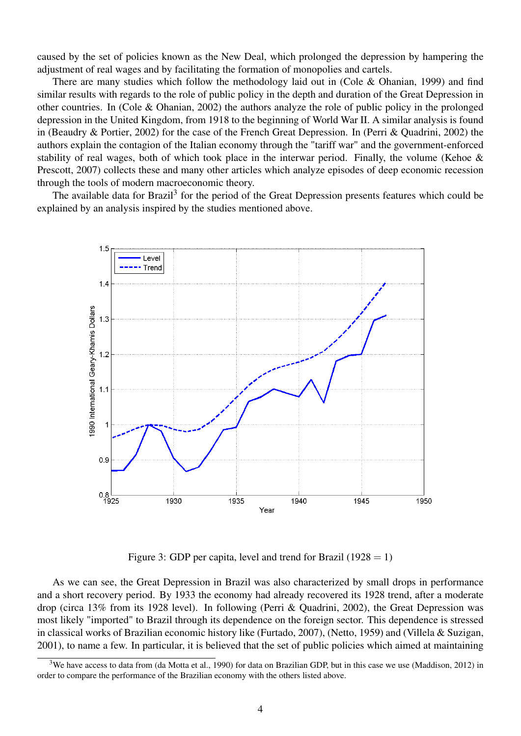caused by the set of policies known as the New Deal, which prolonged the depression by hampering the adjustment of real wages and by facilitating the formation of monopolies and cartels.

There are many studies which follow the methodology laid out in (Cole & Ohanian, 1999) and find similar results with regards to the role of public policy in the depth and duration of the Great Depression in other countries. In (Cole & Ohanian, 2002) the authors analyze the role of public policy in the prolonged depression in the United Kingdom, from 1918 to the beginning of World War II. A similar analysis is found in (Beaudry & Portier, 2002) for the case of the French Great Depression. In (Perri & Quadrini, 2002) the authors explain the contagion of the Italian economy through the "tariff war" and the government-enforced stability of real wages, both of which took place in the interwar period. Finally, the volume (Kehoe & Prescott, 2007) collects these and many other articles which analyze episodes of deep economic recession through the tools of modern macroeconomic theory.

The available data for Brazil<sup>3</sup> for the period of the Great Depression presents features which could be explained by an analysis inspired by the studies mentioned above.



Figure 3: GDP per capita, level and trend for Brazil (1928 = 1)

As we can see, the Great Depression in Brazil was also characterized by small drops in performance and a short recovery period. By 1933 the economy had already recovered its 1928 trend, after a moderate drop (circa 13% from its 1928 level). In following (Perri & Quadrini, 2002), the Great Depression was most likely "imported" to Brazil through its dependence on the foreign sector. This dependence is stressed in classical works of Brazilian economic history like (Furtado, 2007), (Netto, 1959) and (Villela & Suzigan, 2001), to name a few. In particular, it is believed that the set of public policies which aimed at maintaining

<sup>&</sup>lt;sup>3</sup>We have access to data from (da Motta et al., 1990) for data on Brazilian GDP, but in this case we use (Maddison, 2012) in order to compare the performance of the Brazilian economy with the others listed above.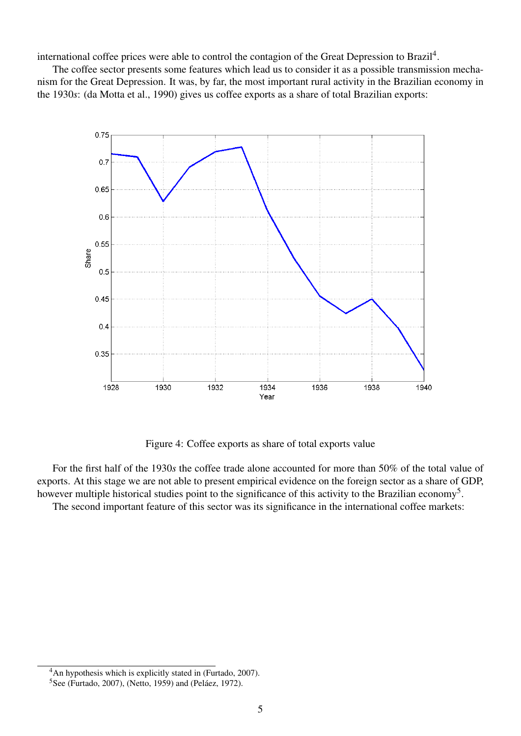international coffee prices were able to control the contagion of the Great Depression to Brazil<sup>4</sup>.

The coffee sector presents some features which lead us to consider it as a possible transmission mechanism for the Great Depression. It was, by far, the most important rural activity in the Brazilian economy in the 1930*s*: (da Motta et al., 1990) gives us coffee exports as a share of total Brazilian exports:



Figure 4: Coffee exports as share of total exports value

For the first half of the 1930*s* the coffee trade alone accounted for more than 50% of the total value of exports. At this stage we are not able to present empirical evidence on the foreign sector as a share of GDP, however multiple historical studies point to the significance of this activity to the Brazilian economy<sup>5</sup>.

The second important feature of this sector was its significance in the international coffee markets:

<sup>&</sup>lt;sup>4</sup>An hypothesis which is explicitly stated in (Furtado, 2007).

<sup>5</sup>See (Furtado, 2007), (Netto, 1959) and (Peláez, 1972).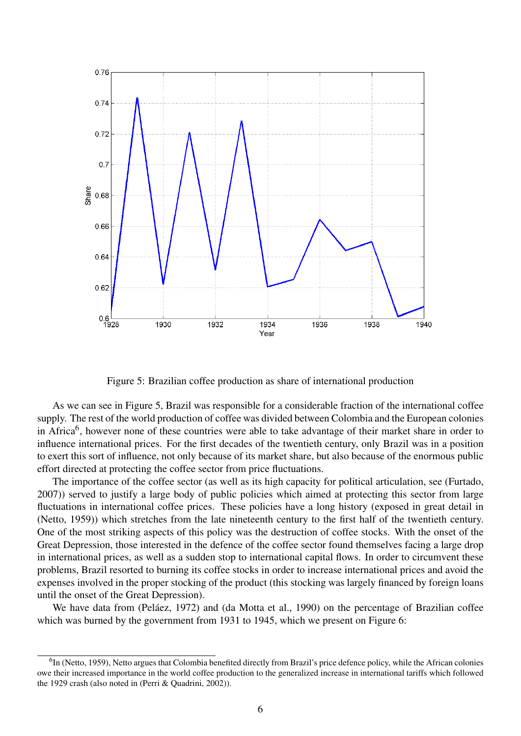

Figure 5: Brazilian coffee production as share of international production

As we can see in Figure 5, Brazil was responsible for a considerable fraction of the international coffee supply. The rest of the world production of coffee was divided between Colombia and the European colonies in Africa<sup>6</sup>, however none of these countries were able to take advantage of their market share in order to influence international prices. For the first decades of the twentieth century, only Brazil was in a position to exert this sort of influence, not only because of its market share, but also because of the enormous public effort directed at protecting the coffee sector from price fluctuations.

The importance of the coffee sector (as well as its high capacity for political articulation, see (Furtado, 2007)) served to justify a large body of public policies which aimed at protecting this sector from large fluctuations in international coffee prices. These policies have a long history (exposed in great detail in (Netto, 1959)) which stretches from the late nineteenth century to the first half of the twentieth century. One of the most striking aspects of this policy was the destruction of coffee stocks. With the onset of the Great Depression, those interested in the defence of the coffee sector found themselves facing a large drop in international prices, as well as a sudden stop to international capital flows. In order to circumvent these problems, Brazil resorted to burning its coffee stocks in order to increase international prices and avoid the expenses involved in the proper stocking of the product (this stocking was largely financed by foreign loans until the onset of the Great Depression).

We have data from (Peláez, 1972) and (da Motta et al., 1990) on the percentage of Brazilian coffee which was burned by the government from 1931 to 1945, which we present on Figure 6:

<sup>&</sup>lt;sup>6</sup>In (Netto, 1959), Netto argues that Colombia benefited directly from Brazil's price defence policy, while the African colonies owe their increased importance in the world coffee production to the generalized increase in international tariffs which followed the 1929 crash (also noted in (Perri & Quadrini, 2002)).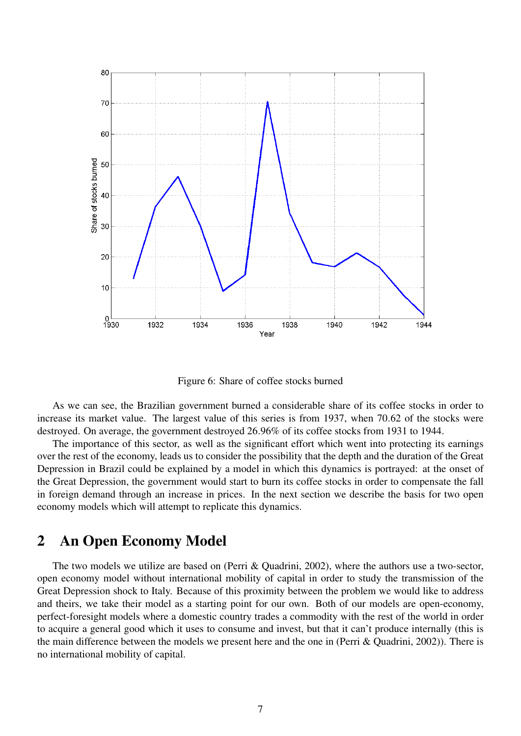

Figure 6: Share of coffee stocks burned

As we can see, the Brazilian government burned a considerable share of its coffee stocks in order to increase its market value. The largest value of this series is from 1937, when 70.62 of the stocks were destroyed. On average, the government destroyed 26.96% of its coffee stocks from 1931 to 1944.

The importance of this sector, as well as the significant effort which went into protecting its earnings over the rest of the economy, leads us to consider the possibility that the depth and the duration of the Great Depression in Brazil could be explained by a model in which this dynamics is portrayed: at the onset of the Great Depression, the government would start to burn its coffee stocks in order to compensate the fall in foreign demand through an increase in prices. In the next section we describe the basis for two open economy models which will attempt to replicate this dynamics.

## 2 An Open Economy Model

The two models we utilize are based on (Perri & Quadrini, 2002), where the authors use a two-sector, open economy model without international mobility of capital in order to study the transmission of the Great Depression shock to Italy. Because of this proximity between the problem we would like to address and theirs, we take their model as a starting point for our own. Both of our models are open-economy, perfect-foresight models where a domestic country trades a commodity with the rest of the world in order to acquire a general good which it uses to consume and invest, but that it can't produce internally (this is the main difference between the models we present here and the one in (Perri & Quadrini, 2002)). There is no international mobility of capital.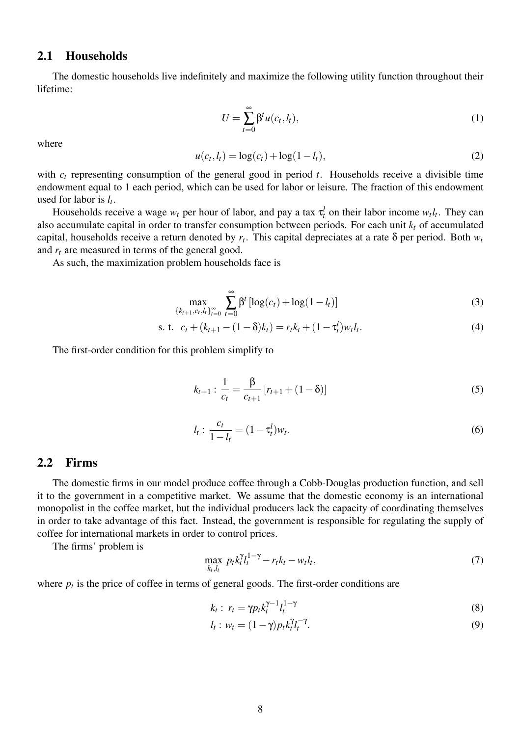### 2.1 Households

The domestic households live indefinitely and maximize the following utility function throughout their lifetime:

$$
U = \sum_{t=0}^{\infty} \beta^t u(c_t, l_t), \qquad (1)
$$

where

$$
u(c_t, l_t) = \log(c_t) + \log(1 - l_t),
$$
\n(2)

with  $c_t$  representing consumption of the general good in period *t*. Households receive a divisible time endowment equal to 1 each period, which can be used for labor or leisure. The fraction of this endowment used for labor is *l<sup>t</sup>* .

Households receive a wage  $w_t$  per hour of labor, and pay a tax  $\tau_t^l$  on their labor income  $w_t l_t$ . They can also accumulate capital in order to transfer consumption between periods. For each unit *k<sup>t</sup>* of accumulated capital, households receive a return denoted by *r<sup>t</sup>* . This capital depreciates at a rate δ per period. Both *w<sup>t</sup>* and *r<sup>t</sup>* are measured in terms of the general good.

As such, the maximization problem households face is

$$
\max_{\{k_{t+1}, c_t, l_t\}_{t=0}^{\infty}} \sum_{t=0}^{\infty} \beta^t \left[ \log(c_t) + \log(1 - l_t) \right]
$$
 (3)

s. t. 
$$
c_t + (k_{t+1} - (1 - \delta)k_t) = r_t k_t + (1 - \tau_t^l) w_t l_t.
$$
 (4)

The first-order condition for this problem simplify to

$$
k_{t+1} : \frac{1}{c_t} = \frac{\beta}{c_{t+1}} [r_{t+1} + (1 - \delta)] \tag{5}
$$

$$
l_t: \frac{c_t}{1 - l_t} = (1 - \tau_t^l) w_t.
$$
\n(6)

#### 2.2 Firms

The domestic firms in our model produce coffee through a Cobb-Douglas production function, and sell it to the government in a competitive market. We assume that the domestic economy is an international monopolist in the coffee market, but the individual producers lack the capacity of coordinating themselves in order to take advantage of this fact. Instead, the government is responsible for regulating the supply of coffee for international markets in order to control prices.

The firms' problem is

$$
\max_{k_t, l_t} p_t k_t^{\gamma} l_t^{1-\gamma} - r_t k_t - w_t l_t,
$$
\n<sup>(7)</sup>

where  $p_t$  is the price of coffee in terms of general goods. The first-order conditions are

$$
k_t: r_t = \gamma p_t k_t^{\gamma - 1} l_t^{1 - \gamma} \tag{8}
$$

$$
l_t: w_t = (1 - \gamma)p_t k_t^{\gamma} l_t^{-\gamma}.
$$
\n
$$
(9)
$$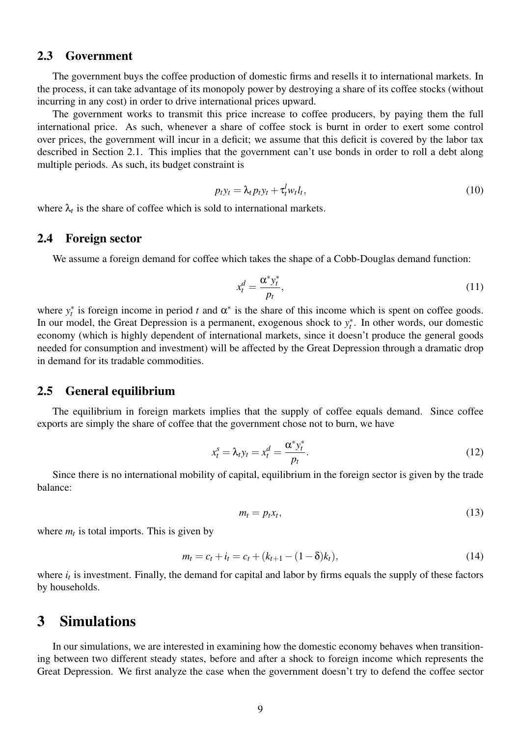### 2.3 Government

The government buys the coffee production of domestic firms and resells it to international markets. In the process, it can take advantage of its monopoly power by destroying a share of its coffee stocks (without incurring in any cost) in order to drive international prices upward.

The government works to transmit this price increase to coffee producers, by paying them the full international price. As such, whenever a share of coffee stock is burnt in order to exert some control over prices, the government will incur in a deficit; we assume that this deficit is covered by the labor tax described in Section 2.1. This implies that the government can't use bonds in order to roll a debt along multiple periods. As such, its budget constraint is

$$
p_t y_t = \lambda_t p_t y_t + \tau_t^l w_t l_t, \qquad (10)
$$

where  $\lambda_t$  is the share of coffee which is sold to international markets.

#### 2.4 Foreign sector

We assume a foreign demand for coffee which takes the shape of a Cobb-Douglas demand function:

$$
x_t^d = \frac{\alpha^* y_t^*}{p_t},\tag{11}
$$

where  $y_t^*$  is foreign income in period *t* and  $\alpha^*$  is the share of this income which is spent on coffee goods. In our model, the Great Depression is a permanent, exogenous shock to  $y_t^*$ . In other words, our domestic economy (which is highly dependent of international markets, since it doesn't produce the general goods needed for consumption and investment) will be affected by the Great Depression through a dramatic drop in demand for its tradable commodities.

### 2.5 General equilibrium

The equilibrium in foreign markets implies that the supply of coffee equals demand. Since coffee exports are simply the share of coffee that the government chose not to burn, we have

$$
x_t^s = \lambda_t y_t = x_t^d = \frac{\alpha^* y_t^*}{p_t}.
$$
\n
$$
(12)
$$

Since there is no international mobility of capital, equilibrium in the foreign sector is given by the trade balance:

$$
m_t = p_t x_t, \tag{13}
$$

where  $m_t$  is total imports. This is given by

$$
m_t = c_t + i_t = c_t + (k_{t+1} - (1 - \delta)k_t),
$$
\n(14)

where  $i_t$  is investment. Finally, the demand for capital and labor by firms equals the supply of these factors by households.

## 3 Simulations

In our simulations, we are interested in examining how the domestic economy behaves when transitioning between two different steady states, before and after a shock to foreign income which represents the Great Depression. We first analyze the case when the government doesn't try to defend the coffee sector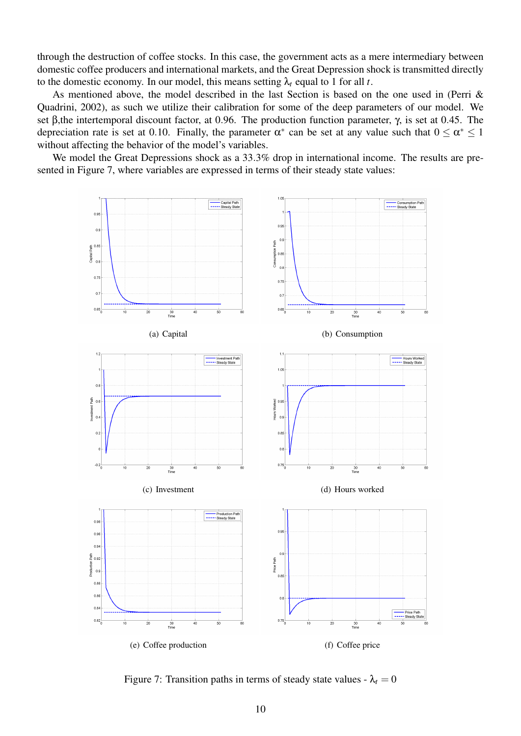through the destruction of coffee stocks. In this case, the government acts as a mere intermediary between domestic coffee producers and international markets, and the Great Depression shock is transmitted directly to the domestic economy. In our model, this means setting  $\lambda_t$  equal to 1 for all *t*.

As mentioned above, the model described in the last Section is based on the one used in (Perri & Quadrini, 2002), as such we utilize their calibration for some of the deep parameters of our model. We set β,the intertemporal discount factor, at 0.96. The production function parameter, γ, is set at 0.45. The depreciation rate is set at 0.10. Finally, the parameter  $\alpha^*$  can be set at any value such that  $0 \le \alpha^* \le 1$ without affecting the behavior of the model's variables.

We model the Great Depressions shock as a 33.3% drop in international income. The results are presented in Figure 7, where variables are expressed in terms of their steady state values:



Figure 7: Transition paths in terms of steady state values -  $\lambda_t = 0$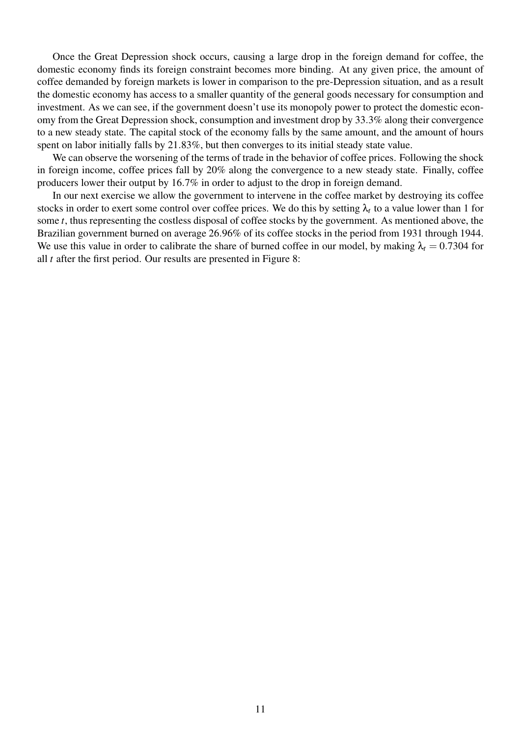Once the Great Depression shock occurs, causing a large drop in the foreign demand for coffee, the domestic economy finds its foreign constraint becomes more binding. At any given price, the amount of coffee demanded by foreign markets is lower in comparison to the pre-Depression situation, and as a result the domestic economy has access to a smaller quantity of the general goods necessary for consumption and investment. As we can see, if the government doesn't use its monopoly power to protect the domestic economy from the Great Depression shock, consumption and investment drop by 33.3% along their convergence to a new steady state. The capital stock of the economy falls by the same amount, and the amount of hours spent on labor initially falls by 21.83%, but then converges to its initial steady state value.

We can observe the worsening of the terms of trade in the behavior of coffee prices. Following the shock in foreign income, coffee prices fall by 20% along the convergence to a new steady state. Finally, coffee producers lower their output by 16.7% in order to adjust to the drop in foreign demand.

In our next exercise we allow the government to intervene in the coffee market by destroying its coffee stocks in order to exert some control over coffee prices. We do this by setting  $\lambda_t$  to a value lower than 1 for some *t*, thus representing the costless disposal of coffee stocks by the government. As mentioned above, the Brazilian government burned on average 26.96% of its coffee stocks in the period from 1931 through 1944. We use this value in order to calibrate the share of burned coffee in our model, by making  $\lambda_t = 0.7304$  for all *t* after the first period. Our results are presented in Figure 8: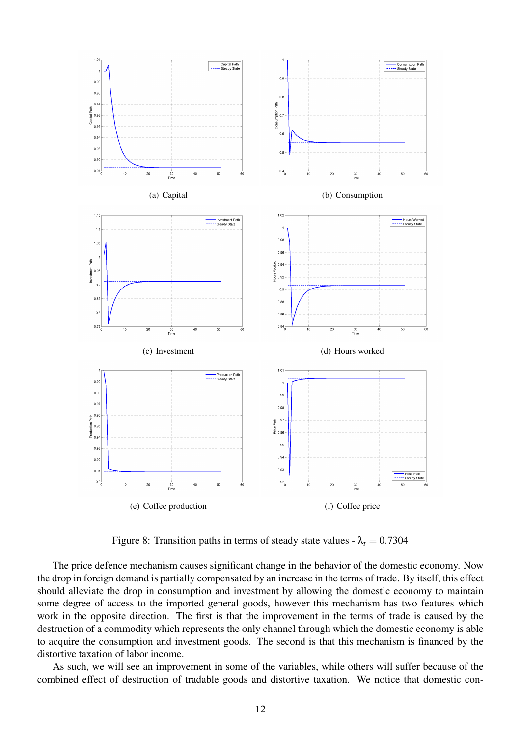

Figure 8: Transition paths in terms of steady state values -  $\lambda_t = 0.7304$ 

The price defence mechanism causes significant change in the behavior of the domestic economy. Now the drop in foreign demand is partially compensated by an increase in the terms of trade. By itself, this effect should alleviate the drop in consumption and investment by allowing the domestic economy to maintain some degree of access to the imported general goods, however this mechanism has two features which work in the opposite direction. The first is that the improvement in the terms of trade is caused by the destruction of a commodity which represents the only channel through which the domestic economy is able to acquire the consumption and investment goods. The second is that this mechanism is financed by the distortive taxation of labor income.

As such, we will see an improvement in some of the variables, while others will suffer because of the combined effect of destruction of tradable goods and distortive taxation. We notice that domestic con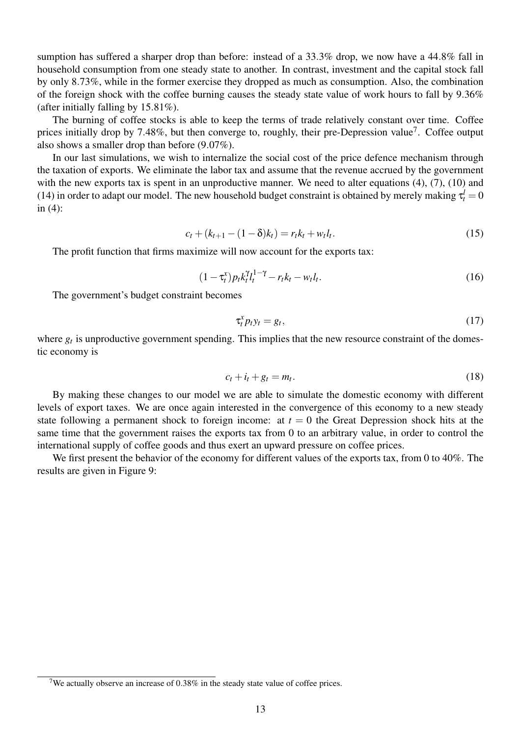sumption has suffered a sharper drop than before: instead of a 33.3% drop, we now have a 44.8% fall in household consumption from one steady state to another. In contrast, investment and the capital stock fall by only 8.73%, while in the former exercise they dropped as much as consumption. Also, the combination of the foreign shock with the coffee burning causes the steady state value of work hours to fall by 9.36% (after initially falling by 15.81%).

The burning of coffee stocks is able to keep the terms of trade relatively constant over time. Coffee prices initially drop by 7.48%, but then converge to, roughly, their pre-Depression value<sup>7</sup>. Coffee output also shows a smaller drop than before (9.07%).

In our last simulations, we wish to internalize the social cost of the price defence mechanism through the taxation of exports. We eliminate the labor tax and assume that the revenue accrued by the government with the new exports tax is spent in an unproductive manner. We need to alter equations (4), (7), (10) and (14) in order to adapt our model. The new household budget constraint is obtained by merely making  $\tau_t^l = 0$ in (4):

$$
c_t + (k_{t+1} - (1 - \delta)k_t) = r_t k_t + w_t l_t.
$$
\n(15)

The profit function that firms maximize will now account for the exports tax:

$$
(1 - \tau_t^x) p_t k_t^{\gamma} l_t^{1 - \gamma} - r_t k_t - w_t l_t.
$$
\n(16)

The government's budget constraint becomes

$$
\tau_t^x p_t y_t = g_t,\tag{17}
$$

where  $g_t$  is unproductive government spending. This implies that the new resource constraint of the domestic economy is

$$
c_t + i_t + g_t = m_t. \tag{18}
$$

By making these changes to our model we are able to simulate the domestic economy with different levels of export taxes. We are once again interested in the convergence of this economy to a new steady state following a permanent shock to foreign income: at  $t = 0$  the Great Depression shock hits at the same time that the government raises the exports tax from 0 to an arbitrary value, in order to control the international supply of coffee goods and thus exert an upward pressure on coffee prices.

We first present the behavior of the economy for different values of the exports tax, from 0 to 40%. The results are given in Figure 9:

<sup>&</sup>lt;sup>7</sup>We actually observe an increase of 0.38% in the steady state value of coffee prices.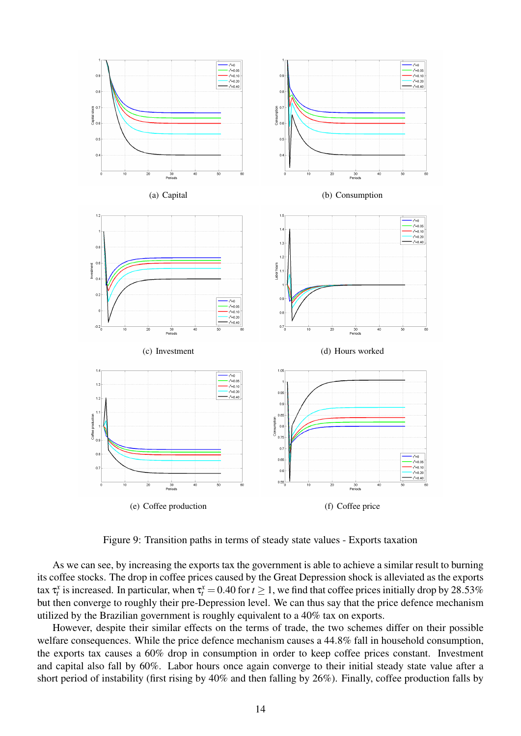

Figure 9: Transition paths in terms of steady state values - Exports taxation

As we can see, by increasing the exports tax the government is able to achieve a similar result to burning its coffee stocks. The drop in coffee prices caused by the Great Depression shock is alleviated as the exports tax  $\tau_t^x$  is increased. In particular, when  $\tau_t^x = 0.40$  for  $t \ge 1$ , we find that coffee prices initially drop by 28.53% but then converge to roughly their pre-Depression level. We can thus say that the price defence mechanism utilized by the Brazilian government is roughly equivalent to a 40% tax on exports.

However, despite their similar effects on the terms of trade, the two schemes differ on their possible welfare consequences. While the price defence mechanism causes a 44.8% fall in household consumption, the exports tax causes a 60% drop in consumption in order to keep coffee prices constant. Investment and capital also fall by 60%. Labor hours once again converge to their initial steady state value after a short period of instability (first rising by 40% and then falling by 26%). Finally, coffee production falls by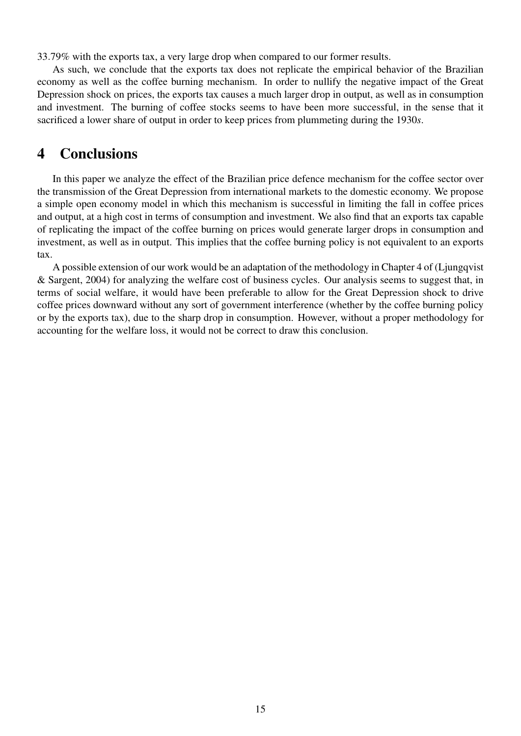33.79% with the exports tax, a very large drop when compared to our former results.

As such, we conclude that the exports tax does not replicate the empirical behavior of the Brazilian economy as well as the coffee burning mechanism. In order to nullify the negative impact of the Great Depression shock on prices, the exports tax causes a much larger drop in output, as well as in consumption and investment. The burning of coffee stocks seems to have been more successful, in the sense that it sacrificed a lower share of output in order to keep prices from plummeting during the 1930*s*.

## 4 Conclusions

In this paper we analyze the effect of the Brazilian price defence mechanism for the coffee sector over the transmission of the Great Depression from international markets to the domestic economy. We propose a simple open economy model in which this mechanism is successful in limiting the fall in coffee prices and output, at a high cost in terms of consumption and investment. We also find that an exports tax capable of replicating the impact of the coffee burning on prices would generate larger drops in consumption and investment, as well as in output. This implies that the coffee burning policy is not equivalent to an exports tax.

A possible extension of our work would be an adaptation of the methodology in Chapter 4 of (Ljungqvist & Sargent, 2004) for analyzing the welfare cost of business cycles. Our analysis seems to suggest that, in terms of social welfare, it would have been preferable to allow for the Great Depression shock to drive coffee prices downward without any sort of government interference (whether by the coffee burning policy or by the exports tax), due to the sharp drop in consumption. However, without a proper methodology for accounting for the welfare loss, it would not be correct to draw this conclusion.